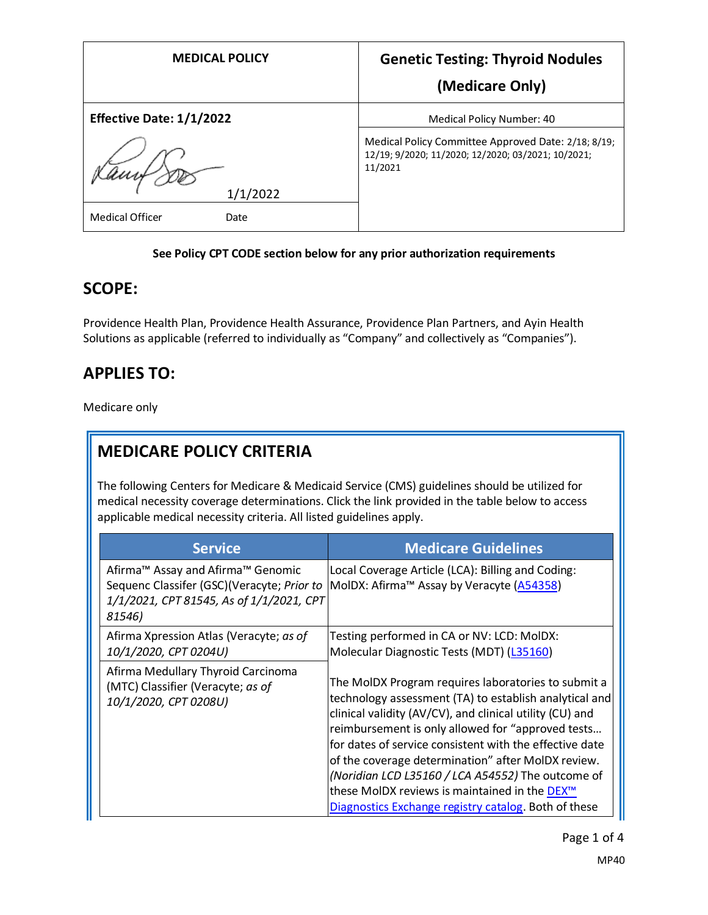| <b>MEDICAL POLICY</b>          | <b>Genetic Testing: Thyroid Nodules</b>                                                                              |
|--------------------------------|----------------------------------------------------------------------------------------------------------------------|
|                                | (Medicare Only)                                                                                                      |
| Effective Date: 1/1/2022       | Medical Policy Number: 40                                                                                            |
|                                | Medical Policy Committee Approved Date: 2/18; 8/19;<br>12/19; 9/2020; 11/2020; 12/2020; 03/2021; 10/2021;<br>11/2021 |
| 1/1/2022                       |                                                                                                                      |
| <b>Medical Officer</b><br>Date |                                                                                                                      |

#### **See Policy CPT CODE section below for any prior authorization requirements**

#### **SCOPE:**

Providence Health Plan, Providence Health Assurance, Providence Plan Partners, and Ayin Health Solutions as applicable (referred to individually as "Company" and collectively as "Companies").

## **APPLIES TO:**

Medicare only

# **MEDICARE POLICY CRITERIA**

The following Centers for Medicare & Medicaid Service (CMS) guidelines should be utilized for medical necessity coverage determinations. Click the link provided in the table below to access applicable medical necessity criteria. All listed guidelines apply.

| <b>Service</b>                                                                                                                                    | <b>Medicare Guidelines</b>                                                                                                                                                                                                                                                                                                                                                                                                                                                                                                |
|---------------------------------------------------------------------------------------------------------------------------------------------------|---------------------------------------------------------------------------------------------------------------------------------------------------------------------------------------------------------------------------------------------------------------------------------------------------------------------------------------------------------------------------------------------------------------------------------------------------------------------------------------------------------------------------|
| Afirma <sup>™</sup> Assay and Afirma™ Genomic<br>Sequenc Classifer (GSC)(Veracyte; Prior to<br>1/1/2021, CPT 81545, As of 1/1/2021, CPT<br>81546) | Local Coverage Article (LCA): Billing and Coding:<br>MolDX: Afirma™ Assay by Veracyte (A54358)                                                                                                                                                                                                                                                                                                                                                                                                                            |
| Afirma Xpression Atlas (Veracyte; as of<br>10/1/2020, CPT 0204U)                                                                                  | Testing performed in CA or NV: LCD: MolDX:<br>Molecular Diagnostic Tests (MDT) (L35160)                                                                                                                                                                                                                                                                                                                                                                                                                                   |
| Afirma Medullary Thyroid Carcinoma<br>(MTC) Classifier (Veracyte; as of<br>10/1/2020, CPT 0208U)                                                  | The MoIDX Program requires laboratories to submit a<br>technology assessment (TA) to establish analytical and<br>clinical validity (AV/CV), and clinical utility (CU) and<br>reimbursement is only allowed for "approved tests<br>for dates of service consistent with the effective date<br>of the coverage determination" after MoIDX review.<br>(Noridian LCD L35160 / LCA A54552) The outcome of<br>these MolDX reviews is maintained in the DEX <sup>™</sup><br>Diagnostics Exchange registry catalog. Both of these |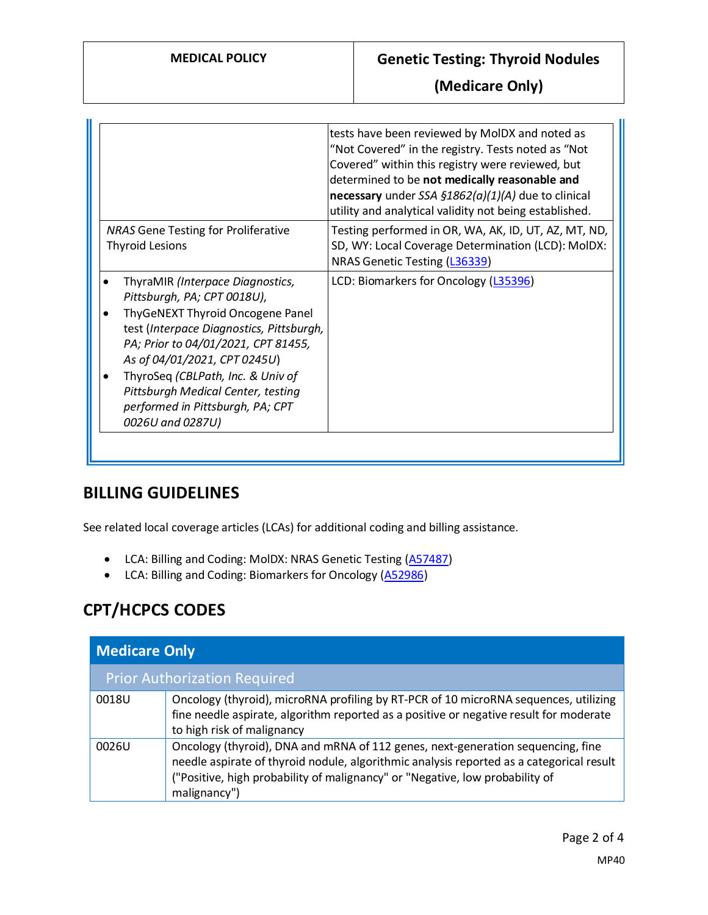**(Medicare Only)**

|                                                                                                                                                                                                                                                                                                                                                           | tests have been reviewed by MoIDX and noted as<br>"Not Covered" in the registry. Tests noted as "Not<br>Covered" within this registry were reviewed, but<br>determined to be not medically reasonable and<br>necessary under SSA $$1862(a)(1)(A)$ due to clinical<br>utility and analytical validity not being established. |
|-----------------------------------------------------------------------------------------------------------------------------------------------------------------------------------------------------------------------------------------------------------------------------------------------------------------------------------------------------------|-----------------------------------------------------------------------------------------------------------------------------------------------------------------------------------------------------------------------------------------------------------------------------------------------------------------------------|
| <b>NRAS Gene Testing for Proliferative</b><br><b>Thyroid Lesions</b>                                                                                                                                                                                                                                                                                      | Testing performed in OR, WA, AK, ID, UT, AZ, MT, ND,<br>SD, WY: Local Coverage Determination (LCD): MolDX:<br>NRAS Genetic Testing (L36339)                                                                                                                                                                                 |
| ThyraMIR (Interpace Diagnostics,<br>Pittsburgh, PA; CPT 0018U),<br>ThyGeNEXT Thyroid Oncogene Panel<br>test (Interpace Diagnostics, Pittsburgh,<br>PA; Prior to 04/01/2021, CPT 81455,<br>As of 04/01/2021, CPT 0245U)<br>ThyroSeq (CBLPath, Inc. & Univ of<br>Pittsburgh Medical Center, testing<br>performed in Pittsburgh, PA; CPT<br>0026U and 0287U) | LCD: Biomarkers for Oncology (L35396)                                                                                                                                                                                                                                                                                       |

#### **BILLING GUIDELINES**

See related local coverage articles (LCAs) for additional coding and billing assistance.

- LCA: Billing and Coding: MolDX: NRAS Genetic Testing [\(A57487\)](https://www.cms.gov/medicare-coverage-database/details/article-details.aspx?articleId=57487)
- LCA: Billing and Coding: Biomarkers for Oncology [\(A52986\)](https://www.cms.gov/medicare-coverage-database/details/article-details.aspx?articleid=52986)

# **CPT/HCPCS CODES**

| <b>Medicare Only</b> |                                                                                                                                                                                                                                                                             |  |
|----------------------|-----------------------------------------------------------------------------------------------------------------------------------------------------------------------------------------------------------------------------------------------------------------------------|--|
|                      | <b>Prior Authorization Required</b>                                                                                                                                                                                                                                         |  |
| 0018U                | Oncology (thyroid), microRNA profiling by RT-PCR of 10 microRNA sequences, utilizing<br>fine needle aspirate, algorithm reported as a positive or negative result for moderate<br>to high risk of malignancy                                                                |  |
| 0026U                | Oncology (thyroid), DNA and mRNA of 112 genes, next-generation sequencing, fine<br>needle aspirate of thyroid nodule, algorithmic analysis reported as a categorical result<br>("Positive, high probability of malignancy" or "Negative, low probability of<br>malignancy") |  |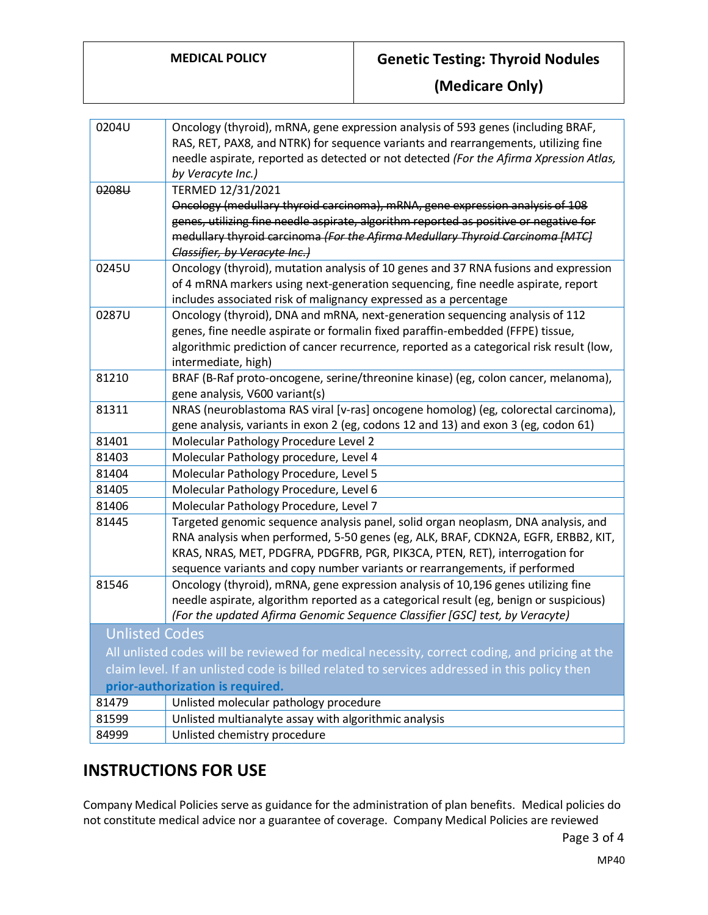### **MEDICAL POLICY Genetic Testing: Thyroid Nodules**

**(Medicare Only)**

| 0204U                                                                                         | Oncology (thyroid), mRNA, gene expression analysis of 593 genes (including BRAF,         |  |
|-----------------------------------------------------------------------------------------------|------------------------------------------------------------------------------------------|--|
|                                                                                               | RAS, RET, PAX8, and NTRK) for sequence variants and rearrangements, utilizing fine       |  |
|                                                                                               | needle aspirate, reported as detected or not detected (For the Afirma Xpression Atlas,   |  |
|                                                                                               | by Veracyte Inc.)                                                                        |  |
| 0208U                                                                                         | TERMED 12/31/2021                                                                        |  |
|                                                                                               | Oncology (medullary thyroid carcinoma), mRNA, gene expression analysis of 108            |  |
|                                                                                               | genes, utilizing fine needle aspirate, algorithm reported as positive or negative for    |  |
|                                                                                               | medullary thyroid carcinoma (For the Afirma Medullary Thyroid Carcinoma [MTC]            |  |
|                                                                                               | Classifier, by Veracyte Inc.)                                                            |  |
| 0245U                                                                                         | Oncology (thyroid), mutation analysis of 10 genes and 37 RNA fusions and expression      |  |
|                                                                                               | of 4 mRNA markers using next-generation sequencing, fine needle aspirate, report         |  |
|                                                                                               | includes associated risk of malignancy expressed as a percentage                         |  |
| 0287U                                                                                         | Oncology (thyroid), DNA and mRNA, next-generation sequencing analysis of 112             |  |
|                                                                                               | genes, fine needle aspirate or formalin fixed paraffin-embedded (FFPE) tissue,           |  |
|                                                                                               | algorithmic prediction of cancer recurrence, reported as a categorical risk result (low, |  |
|                                                                                               | intermediate, high)                                                                      |  |
| 81210                                                                                         | BRAF (B-Raf proto-oncogene, serine/threonine kinase) (eg, colon cancer, melanoma),       |  |
|                                                                                               | gene analysis, V600 variant(s)                                                           |  |
| 81311                                                                                         | NRAS (neuroblastoma RAS viral [v-ras] oncogene homolog) (eg, colorectal carcinoma),      |  |
|                                                                                               | gene analysis, variants in exon 2 (eg, codons 12 and 13) and exon 3 (eg, codon 61)       |  |
| 81401                                                                                         | Molecular Pathology Procedure Level 2                                                    |  |
| 81403                                                                                         | Molecular Pathology procedure, Level 4                                                   |  |
| 81404                                                                                         | Molecular Pathology Procedure, Level 5                                                   |  |
| 81405                                                                                         | Molecular Pathology Procedure, Level 6                                                   |  |
| 81406                                                                                         | Molecular Pathology Procedure, Level 7                                                   |  |
| 81445                                                                                         | Targeted genomic sequence analysis panel, solid organ neoplasm, DNA analysis, and        |  |
|                                                                                               | RNA analysis when performed, 5-50 genes (eg, ALK, BRAF, CDKN2A, EGFR, ERBB2, KIT,        |  |
|                                                                                               | KRAS, NRAS, MET, PDGFRA, PDGFRB, PGR, PIK3CA, PTEN, RET), interrogation for              |  |
|                                                                                               | sequence variants and copy number variants or rearrangements, if performed               |  |
| 81546                                                                                         | Oncology (thyroid), mRNA, gene expression analysis of 10,196 genes utilizing fine        |  |
|                                                                                               | needle aspirate, algorithm reported as a categorical result (eg, benign or suspicious)   |  |
|                                                                                               | (For the updated Afirma Genomic Sequence Classifier [GSC] test, by Veracyte)             |  |
| <b>Unlisted Codes</b>                                                                         |                                                                                          |  |
| All unlisted codes will be reviewed for medical necessity, correct coding, and pricing at the |                                                                                          |  |
| claim level. If an unlisted code is billed related to services addressed in this policy then  |                                                                                          |  |
| prior-authorization is required.                                                              |                                                                                          |  |
| 81479                                                                                         | Unlisted molecular pathology procedure                                                   |  |
| 81599                                                                                         | Unlisted multianalyte assay with algorithmic analysis                                    |  |
| 84999                                                                                         | Unlisted chemistry procedure                                                             |  |

## **INSTRUCTIONS FOR USE**

Company Medical Policies serve as guidance for the administration of plan benefits. Medical policies do not constitute medical advice nor a guarantee of coverage. Company Medical Policies are reviewed

Page 3 of 4